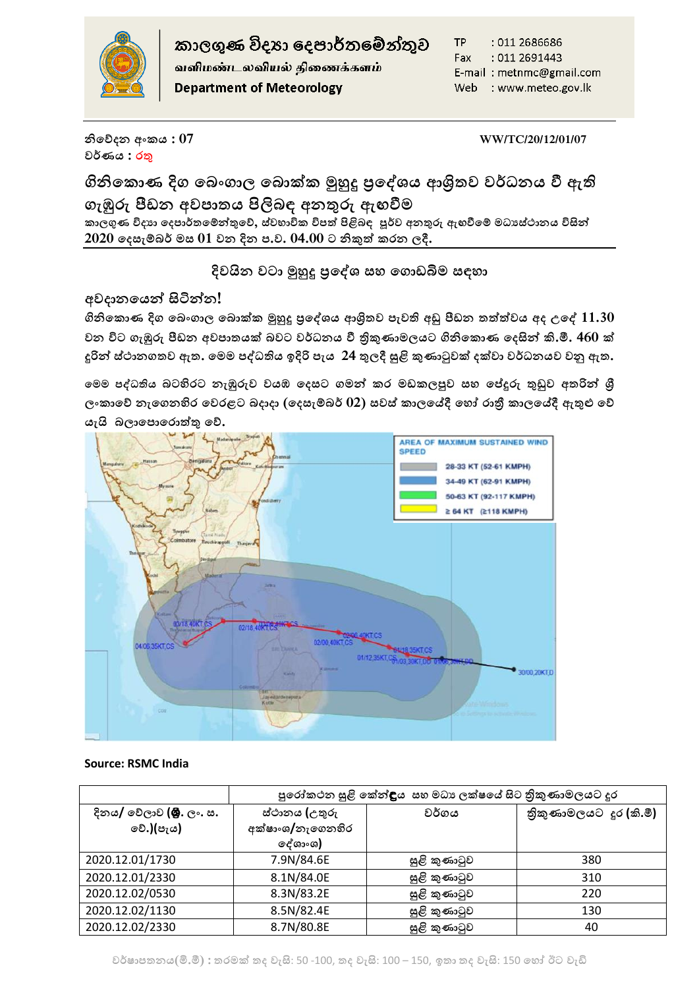

කාලගුණ විදුහා දෙපාර්තමේන්තුව

வளிமண்டலவியல் திணைக்களம் **Department of Meteorology** 

TP : 011 2686686 Fax: 011 2691443 E-mail: metnmc@gmail.com Web : www.meteo.gov.lk

**නිහේදන අංකය : 07 WW/TC/20/12/01/07 වර්ණය : රතු**

**ගිනිහකොණ දිග හ ංගාල හ ොක්ක මුහුදු ප්රහශයය ශ්රිතව වර්ධනය වී ඇති ගැඹුරු පීඩන අවපාතය පිලි ඳ අනතුරු ඇඟවීම කාලගුණ විදයා හදපාර්තහ්තුතුහේ, ස්වභාවික විපත් පිළි ඳ පූර්ව අනතුරු ඇඟවීහ් මධයස්ාානය විසිතු 2020 හදසැ් ර් මස 01 වන දින ප.ව. 04.00 ට නිකුත් කරන ලදී.**

**දිවයින වටා මුහුදු ප්රහශය ස හගොඩිමම සඳ ා**

# **අවදානහයතු සිටිතුන!**

**ගිනිහකොණ දිග හ ංගාල හ ොක්ක මුහුදු ප්රහශයය ශ්රිතව පැවති අඩු පීඩන තත්ත්වය අද උහශ 11.30 වන විට ගැඹුරු පීඩන අවපාතයක් වට වර්ධනය වී ත්රිකුණාමලයට ගිනිහකොණ හදසිතු .ම.මී. 460 ක් දුරිතු ස්ාානගතව ඇත. හමම පශධතිය ඉදිරි පැය 24 තුලදී සුළි කුණාටුවක් දක්වා වර්ධනයව වනු ඇත.** 

**හමම පශධතිය ටහිරට නැඹුරුව වයඹ හදසට ගමතු කර මඩකලපුව ස හේදුරු තුඩුව අතරිතු ශ්රී ලංකාහේ නැහගනහිර හවරළට දාදා (හදසැ් ර් 02) සවස් කාලහේදී හ ෝ රාත්රී කාලහේදී ඇතුළු හේ යැයි ලාහපොහරොත්තු හේ.**



# **Source: RSMC India**

|                                              | පුරෝකථන සුළි කේන් <b>දි</b> ය සහ මධා ලක්ෂයේ සිට තිුකුණාමලයට දූර |              |                        |
|----------------------------------------------|-----------------------------------------------------------------|--------------|------------------------|
| දිනය/ වේලාව <b>(මු.</b> ලං. ස.<br>⊚වි.)(පැය) | ස්ථානය (උතුරු<br>අක්ෂාංශ/නැගෙනහිර<br>ලද්ශාංශ)                   | වර්ගය        | තිකුණාමලයට දුර (කි.මී) |
| 2020.12.01/1730                              | 7.9N/84.6E                                                      | සුළි කුණාටුව | 380                    |
| 2020.12.01/2330                              | 8.1N/84.0E                                                      | සුළි කුණාටුව | 310                    |
| 2020.12.02/0530                              | 8.3N/83.2E                                                      | සුළි කුණාටුව | 220                    |
| 2020.12.02/1130                              | 8.5N/82.4E                                                      | සුළි කුණාටුව | 130                    |
| 2020.12.02/2330                              | 8.7N/80.8E                                                      | සුළි කුණාටුව | 40                     |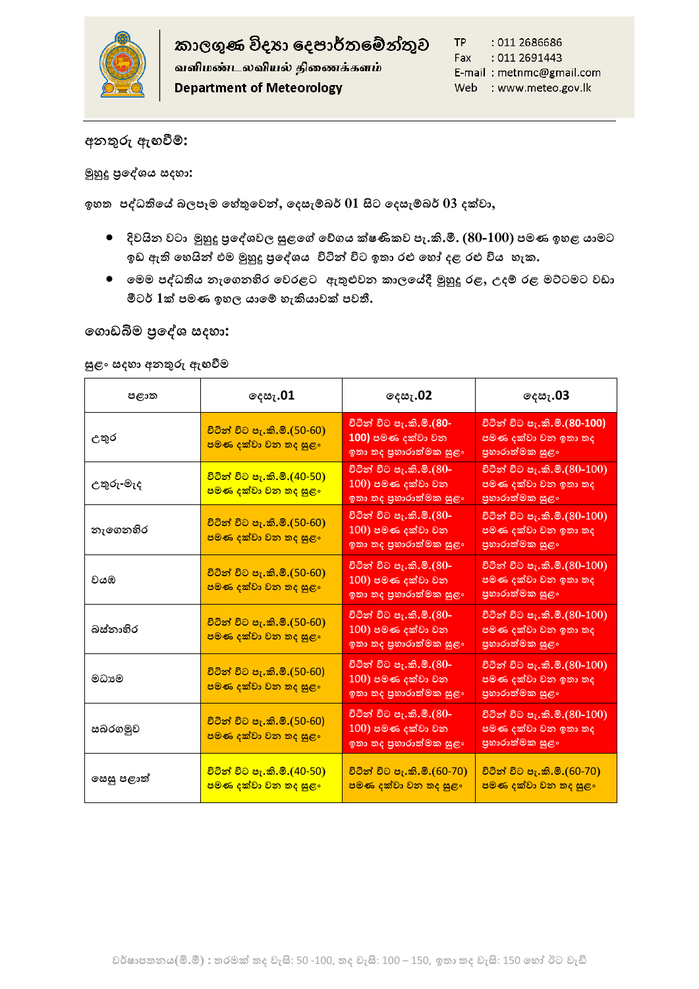

# **අනතුරු ඇඟවී්:**

**මුහුදු ප්රහශයය සද ා:**

**ඉ ත පශධතිහේ ලපෑම හ ේතුහවතු, හදසැ් ර් 01 සිට හදසැ් ර් 03 දක්වා,**

- **දිවයින වටා මුහුදු ප්රහශයවල සුළහේ හේගය ක්ෂණිකව පැ..ම.මී. (80-100) පමණ ඉ ළ යාමට**  ඉඩ ඇති හෙයින් එම මුහුදු පුදේශය විටින් විට ඉතා රළු හෝ දළ රළු විය හැක.
- **හමම පශධතිය නැහගනහිර හවරළට ඇතුළුවන කාලහේදී මුහුදු රළ, උද් රළ මට්ටමට වඩා**  මීටර් 1ක් පමණ ඉහල යාමේ හැකියාවක් පවතී.

### **හගොඩිමම ප්රහශය සද ා:**

#### **සුළං සද ා අනතුරු ඇඟවීම**

| පළාත       | ලදසැ.01                                                                 | ලදසැ <b>.02</b>                                                                | ලදසැ <b>.03</b>                                                               |
|------------|-------------------------------------------------------------------------|--------------------------------------------------------------------------------|-------------------------------------------------------------------------------|
| උතුර       | <u>විටින් විට පැ.කි.මි.(50-60)</u><br>පමණ දක්වා වන තද සුළං              | විටින් විට පැ.කි.මි.(80-<br>100) පමණ දක්වා වන<br>ඉතා තද පුහාරාත්මක සුළං        | විටින් විට පැ.කි.මි.(80-100)<br>පමණ දක්වා වන ඉතා තද<br>පුහාරාත්මක සුළං        |
| උතුරු-මැද  | <u>විටින් විට පැ.කි.මි.(40-50)</u><br><mark>පමණ දක්වා වන තද සුළං</mark> | විටින් විට පැ.කි.මි.(80-<br>$(100)$ පමණ දක්වා වන<br>ඉතා තද පුහාරාත්මක සුළං     | විටින් විට පැ.කි.මි.(80-100)<br><u>පමණ දක්වා වන ඉතා තද</u><br>පුහාරාත්මක සුළං |
| නැගෙනහිර   | <u>විටින් විට පැ.කි.මි.(50-60)</u><br>පමණ දක්වා වන තද සුළං              | විටින් විට පැ.කි.මි.(80-<br>$(100)$ පමණ දක්වා වන<br>ඉතා තද පුහාරාත්මක සුළං     | <u>විටින් විට පැ.කි.මි.(80-100)</u><br>පමණ දක්වා වන ඉතා තද<br>පුහාරාත්මක සුළං |
| වයඹ        | <u>විටින් විට පැ.කි.මි.(50-60)</u><br>පමණ දක්වා වන තද සුළං              | විටින් විට පැ.කි.මි.(80-<br><u>100) පමණ දක්වා වන</u><br>ඉතා තද පුහාරාත්මක සුළං | විටින් විට පැ.කි.මි.(80-100)<br>පමණ දක්වා වන ඉතා තද<br>පුහාරාත්මක සුළං        |
| බස්තාහිර   | <u>විටින් විට පැ.කි.මී.(50-60)</u><br>පමණ දක්වා වන තද සුළං              | විටින් විට පැ.කි.මි.(80-<br>$100$ ) පමණ දක්වා වන<br>ඉතා තද පුහාරාත්මක සුළං     | විටින් විට පැ.කි.මි.(80-100)<br>පමණ දක්වා වන ඉතා තද<br>පුහාරාත්මක සුළං        |
| මධාමෙ      | <u>විටින් විට පැ.කි.මි.(50-60)</u><br>පමණ දක්වා වන තද සුළං              | විටින් විට පැ.කි.මි.(80-<br>$(100)$ පමණ දක්වා වන<br>ඉතා තද පුහාරාත්මක සුළං     | විටින් විට පැ.කි.මි.(80-100)<br>පමණ දක්වා වන ඉතා තද<br>පුහාරාත්මක සුළං        |
| සබරගමුව    | <u>විටින් විට පැ.කි.මී.(50-60)</u><br>පමණ දක්වා වන තද සුළං              | විටින් විට පැ.කි.මි.(80-<br>$100$ ) පමණ දක්වා වන<br>ඉතා තද පුහාරාත්මක සුළං     | විටින් විට පැ.කි.මි.(80-100)<br>පමණ දක්වා වන ඉතා තද<br>පුහාරාත්මක සුළං        |
| සෙසු පළාත් | <u>විටින් විට පැ.කි.මී.(40-50)</u><br><mark>පමණ දක්වා වන තද සුළං</mark> | <u>විටින් විට පැ.කි.මී.(60-70)</u><br>පමණ දක්වා වන තද සුළං                     | <u>විටින් විට පැ.කි.මී.(60-70)</u><br>පමණ දක්වා වන තද සුළං                    |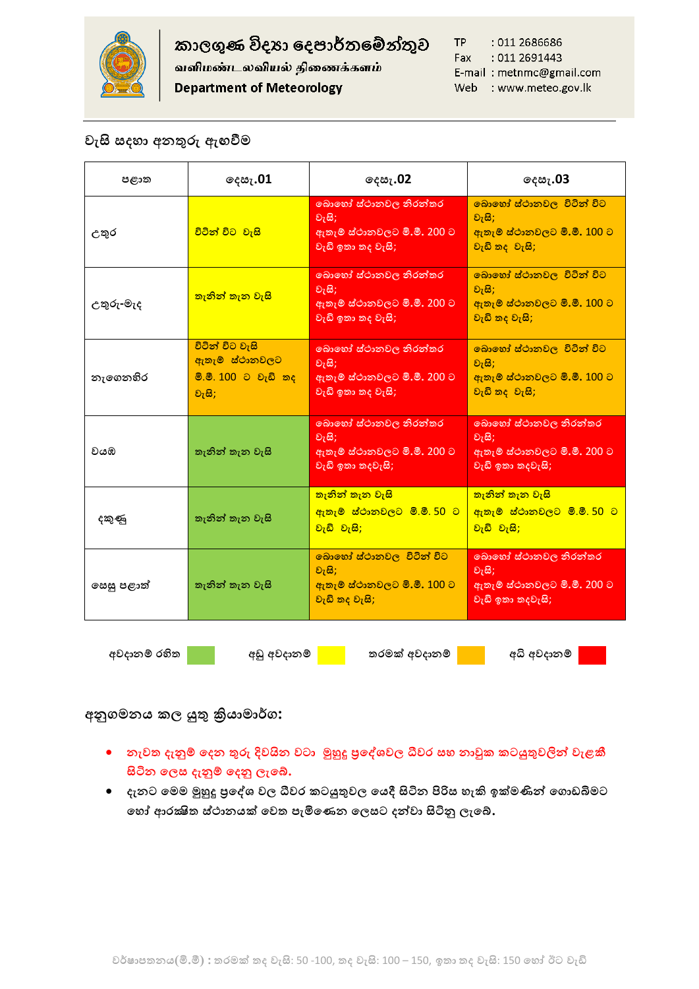

කාලගුණ විදහා දෙපාර්තමේන්තුව

வளிமண்டலவியல் திணைக்களம்

**Department of Meteorology** 

TP : 011 2686686 Fax : 011 2691443 E-mail: metnmc@gmail.com Web : www.meteo.gov.lk

# **වැසි සද ා අනතුරු ඇඟවීම**

| පළාත         | ලදසැ.01                                                                   | ⊚¢ಜಿ7.02                                                                          | ලදසැ <b>.03</b>                                                                   |
|--------------|---------------------------------------------------------------------------|-----------------------------------------------------------------------------------|-----------------------------------------------------------------------------------|
| උතුර         | විටින් විට වැසි                                                           | බොහෝ ස්ථානවල නිරන්තර<br>වැසි;<br>ඇතැම් ස්ථානවලට මි.මී. 200 ට<br>වැඩි ඉතා තද වැසි; | බොහෝ ස්ථානවල විටින් විට<br>වැසි;<br>ඇතැම් ස්ථානවලට මි.මී. 100 ට<br>වැඩි තද වැසි;  |
| උතුරු-මැද    | <mark>තැනින් තැන වැසි</mark>                                              | බොහෝ ස්ථානවල නිරන්තර<br>වැසි;<br>ඇතැම් ස්ථානවලට මි.මී. 200 ට<br>වැඩි ඉතා තද වැසි; | බොහෝ ස්ථානවල, විටින් විට<br>වැසි;<br>ඇතැම් ස්ථානවලට මි.මී. 100 ට<br>වැඩි තද වැසි; |
| නැගෙනහිර     | විටින් විට වැසි<br>ඇතැම් ස්ථානවලට<br><u>මි.මී. 100 ට වැඩි තද</u><br>වැසි; | බොහෝ ස්ථානවල නිරන්තර<br>වැසි;<br>ඇතැම් ස්ථානවලට මි.මී. 200 ට<br>වැඩි ඉතා තද වැසි; | බොහෝ ස්ථානවල, විටින් විට<br>වැසි;<br>ඇතැම් ස්ථානවලට මි.මී. 100 ට<br>වැඩි තද වැසි; |
| වයඹ          | තැනින් තැන වැසි                                                           | බොහෝ ස්ථානවල නිරන්තර<br>වැසි;<br>ඇතැම් ස්ථානවලට මි.මී. 200 ට<br>වැඩි ඉතා තදවැසි;  | බොහෝ ස්ථානවල නිරන්තර<br>වැසි;<br>ඇතැම් ස්ථානවලට මි.මී. 200 ට<br>වැඩි ඉතා තදවැසි;  |
| දකුණු        | තැනින් තැන වැසි                                                           | <mark>තැනින් තැන වැසි</mark><br><u>ඇතැම් ස්ථානවලට මි.මී. 50 ට </u><br>වැඩි වැසි;  | තැනින් තැන වැසි<br><u>ඇතැම් ස්ථානවලට මි.මී. 50 ට</u><br>වැඩි වැසි;                |
| සෙසු පළාත්   | තැනින් තැන වැසි                                                           | බොහෝ ස්ථානවල, විටින් විට<br>වැසි;<br>ඇතැම් ස්ථානවලට මි.මී. 100 ට<br>වැඩි තද වැසි; | බොහෝ ස්ථානවල නිරන්තර<br>වැසි;<br>ඇතැම් ස්ථානවලට මි.මී. 200 ට<br>වැඩි ඉතා තදවැසි;  |
| අවදානම් රහිත | අඩු අවදානම්                                                               | තරමක් අවදානම්                                                                     | අධි අවදානම්                                                                       |

**අනුගමනය කල යුතු ක්රියාමාර්ග:**

- **ො**වත දැනුම් දෙන තුරු දිවයින වටා මුහුදු පුදේශවල ධීවර සහ නාවුක කටයුතුවලින් වැළකී **සිටින හලස දැනු් හදනු ලැහේ.**
- **දැනට හමම මුහුදු ප්රහශය වල ීවවර කටයුතුවල හයදී සිටින පිරිස ැ.ම ඉක්මණිතු හගොඩිමමට හ ෝ ශරක්ෂිත ස්ාානයක් හවත පැමිහණන හලසට දතුවා සිටිනු ලැහේ.**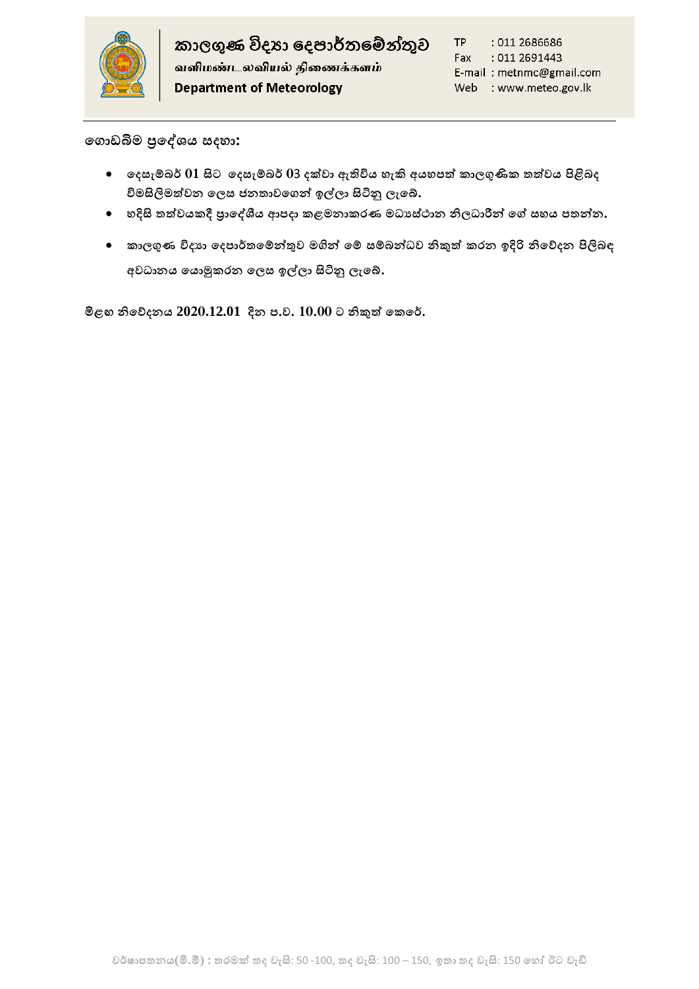

**හගොඩිමම ප්රහශයය සද ා:**

- **හදසැ් ර් 01 සිට හදසැ් ර් 0**3 **දක්වා ඇතිවිය ැ.ම අය පත් කාලගුණික තත්වය පිළි ද විමසිලිමත්වන හලස ජනතාවහගතු ඉල්ලා සිටිනු ලැහේ.**
- $\bullet$  හදිසි තත්වයකදී පාලේශීය ආපදා කළමනාකරණ මධාස්ථාන නිලධාරීන් ගේ සහය පතන්න.
- $\bullet$  කාලගුණ විදාහ දෙපාර්තමේන්තුව මගින් මේ සම්බන්ධව නිකුත් කරන ඉදිරි නිවේදන පිලිබඳ **අවධානය හයොමුකරන හලස ඉල්ලා සිටිනු ලැහේ.**

**මිළඟ නිහේදනය 2020.12.01 දින ප.ව. 10.00 ට නිකුත් හකහර්.**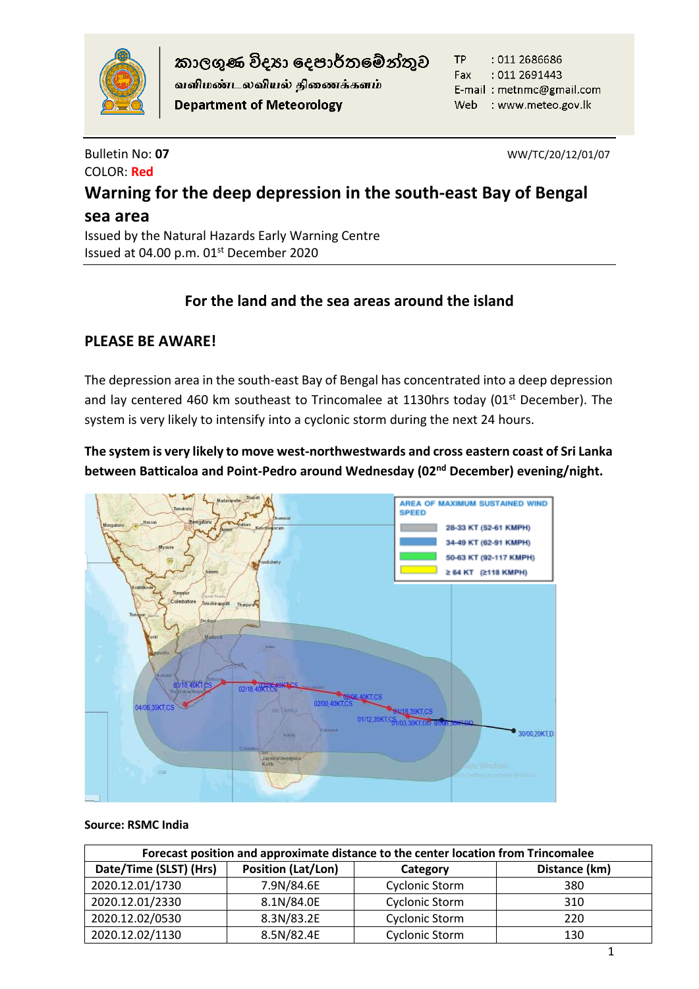

කාලගුණ විදහා දෙපාර්තමේන්තුව

வளிமண்டலவியல் திணைக்களம் **Department of Meteorology** 

TP : 011 2686686 Fax  $:011\,2691443$ E-mail: metnmc@gmail.com Web : www.meteo.gov.lk

# COLOR: **Red**

Bulletin No: **07** WW/TC/20/12/01/07

# **Warning for the deep depression in the south-east Bay of Bengal sea area**

Issued by the Natural Hazards Early Warning Centre Issued at 04.00 p.m. 01<sup>st</sup> December 2020

# **For the land and the sea areas around the island**

# **PLEASE BE AWARE!**

The depression area in the south-east Bay of Bengal has concentrated into a deep depression and lay centered 460 km southeast to Trincomalee at 1130hrs today (01<sup>st</sup> December). The system is very likely to intensify into a cyclonic storm during the next 24 hours.

**The system is very likely to move west-northwestwards and cross eastern coast of Sri Lanka between Batticaloa and Point-Pedro around Wednesday (02nd December) evening/night.** 



# **Source: RSMC India**

| Forecast position and approximate distance to the center location from Trincomalee |                           |                       |               |  |
|------------------------------------------------------------------------------------|---------------------------|-----------------------|---------------|--|
| Date/Time (SLST) (Hrs)                                                             | <b>Position (Lat/Lon)</b> | Category              | Distance (km) |  |
| 2020.12.01/1730                                                                    | 7.9N/84.6E                | <b>Cyclonic Storm</b> | 380           |  |
| 2020.12.01/2330                                                                    | 8.1N/84.0E                | <b>Cyclonic Storm</b> | 310           |  |
| 2020.12.02/0530                                                                    | 8.3N/83.2E                | <b>Cyclonic Storm</b> | 220           |  |
| 2020.12.02/1130                                                                    | 8.5N/82.4E                | <b>Cyclonic Storm</b> | 130           |  |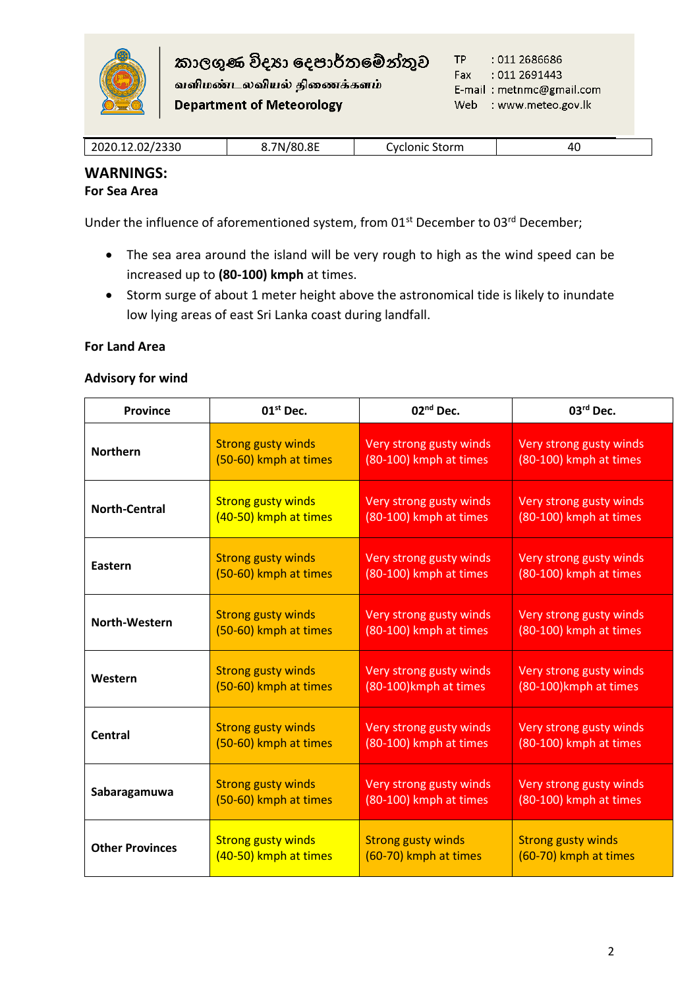

வளிமண்டலவியல் திணைக்களம் **Department of Meteorology** 

|  | 2020.12.02/2330 | 7N/80.8E | Storm<br>Cyclonic | 40 |
|--|-----------------|----------|-------------------|----|
|--|-----------------|----------|-------------------|----|

### **WARNINGS: For Sea Area**

Under the influence of aforementioned system, from 01<sup>st</sup> December to 03<sup>rd</sup> December;

- The sea area around the island will be very rough to high as the wind speed can be increased up to **(80-100) kmph** at times.
- Storm surge of about 1 meter height above the astronomical tide is likely to inundate low lying areas of east Sri Lanka coast during landfall.

# **For Land Area**

# **Advisory for wind**

| <b>Province</b>        | $01st$ Dec.               | 02 <sup>nd</sup> Dec.     | $03rd$ Dec.               |
|------------------------|---------------------------|---------------------------|---------------------------|
| <b>Northern</b>        | <b>Strong gusty winds</b> | Very strong gusty winds   | Very strong gusty winds   |
|                        | (50-60) kmph at times     | (80-100) kmph at times    | (80-100) kmph at times    |
| <b>North-Central</b>   | <b>Strong gusty winds</b> | Very strong gusty winds   | Very strong gusty winds   |
|                        | (40-50) kmph at times     | (80-100) kmph at times    | (80-100) kmph at times    |
| Eastern                | <b>Strong gusty winds</b> | Very strong gusty winds   | Very strong gusty winds   |
|                        | (50-60) kmph at times     | (80-100) kmph at times    | (80-100) kmph at times    |
| North-Western          | <b>Strong gusty winds</b> | Very strong gusty winds   | Very strong gusty winds   |
|                        | (50-60) kmph at times     | (80-100) kmph at times    | (80-100) kmph at times    |
| Western                | <b>Strong gusty winds</b> | Very strong gusty winds   | Very strong gusty winds   |
|                        | (50-60) kmph at times     | (80-100) kmph at times    | (80-100) kmph at times    |
| Central                | <b>Strong gusty winds</b> | Very strong gusty winds   | Very strong gusty winds   |
|                        | (50-60) kmph at times     | (80-100) kmph at times    | (80-100) kmph at times    |
| Sabaragamuwa           | <b>Strong gusty winds</b> | Very strong gusty winds   | Very strong gusty winds   |
|                        | (50-60) kmph at times     | (80-100) kmph at times    | (80-100) kmph at times    |
| <b>Other Provinces</b> | <b>Strong gusty winds</b> | <b>Strong gusty winds</b> | <b>Strong gusty winds</b> |
|                        | (40-50) kmph at times     | (60-70) kmph at times     | (60-70) kmph at times     |